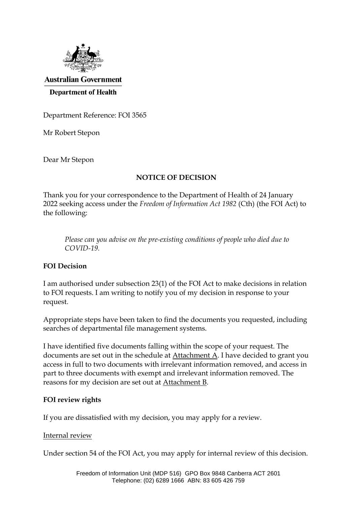

**Australian Government Department of Health** 

Department Reference: FOI 3565

Mr Robert Stepon

Dear Mr Stepon

# **NOTICE OF DECISION**

Thank you for your correspondence to the Department of Health of 24 January 2022 seeking access under the *Freedom of Information Act 1982* (Cth) (the FOI Act) to the following:

*Please can you advise on the pre-existing conditions of people who died due to COVID-19.*

# **FOI Decision**

I am authorised under subsection 23(1) of the FOI Act to make decisions in relation to FOI requests. I am writing to notify you of my decision in response to your request.

Appropriate steps have been taken to find the documents you requested, including searches of departmental file management systems.

I have identified five documents falling within the scope of your request. The documents are set out in the schedule at Attachment A. I have decided to grant you access in full to two documents with irrelevant information removed, and access in part to three documents with exempt and irrelevant information removed. The reasons for my decision are set out at Attachment B.

# **FOI review rights**

If you are dissatisfied with my decision, you may apply for a review.

#### Internal review

Under section 54 of the FOI Act, you may apply for internal review of this decision.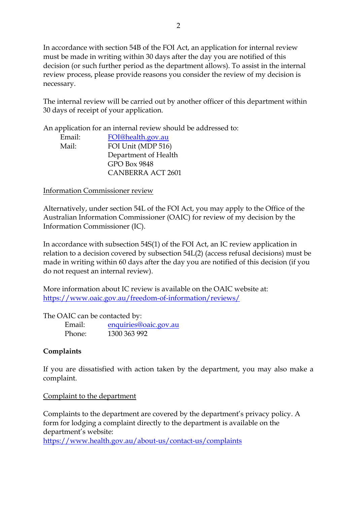In accordance with section 54B of the FOI Act, an application for internal review must be made in writing within 30 days after the day you are notified of this decision (or such further period as the department allows). To assist in the internal review process, please provide reasons you consider the review of my decision is necessary.

The internal review will be carried out by another officer of this department within 30 days of receipt of your application.

An application for an internal review should be addressed to:

| Email: | FOI@health.gov.au    |
|--------|----------------------|
| Mail:  | FOI Unit (MDP 516)   |
|        | Department of Health |
|        | GPO Box 9848         |
|        | CANBERRA ACT 2601    |

Information Commissioner review

Alternatively, under section 54L of the FOI Act, you may apply to the Office of the Australian Information Commissioner (OAIC) for review of my decision by the Information Commissioner (IC).

In accordance with subsection 54S(1) of the FOI Act, an IC review application in relation to a decision covered by subsection 54L(2) (access refusal decisions) must be made in writing within 60 days after the day you are notified of this decision (if you do not request an internal review).

More information about IC review is available on the OAIC website at: <https://www.oaic.gov.au/freedom-of-information/reviews/>

The OAIC can be contacted by:

Email: [enquiries@oaic.gov.au](mailto:enquiries@oaic.gov.au) Phone: 1300 363 992

# **Complaints**

If you are dissatisfied with action taken by the department, you may also make a complaint.

# Complaint to the department

Complaints to the department are covered by the department's privacy policy. A form for lodging a complaint directly to the department is available on the department's website: <https://www.health.gov.au/about-us/contact-us/complaints>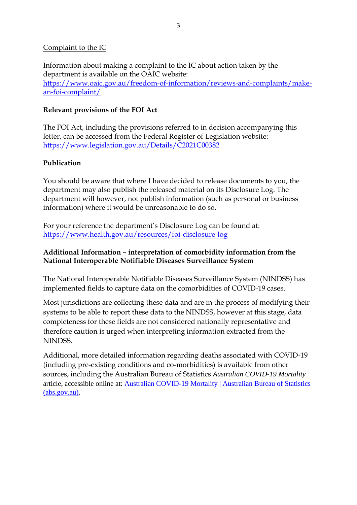#### Complaint to the IC

Information about making a complaint to the IC about action taken by the department is available on the OAIC website: [https://www.oaic.gov.au/freedom-of-information/reviews-and-complaints/make](https://www.oaic.gov.au/freedom-of-information/reviews-and-complaints/make-an-foi-complaint/)[an-foi-complaint/](https://www.oaic.gov.au/freedom-of-information/reviews-and-complaints/make-an-foi-complaint/)

# **Relevant provisions of the FOI Act**

The FOI Act, including the provisions referred to in decision accompanying this letter, can be accessed from the Federal Register of Legislation website: <https://www.legislation.gov.au/Details/C2021C00382>

# **Publication**

You should be aware that where I have decided to release documents to you, the department may also publish the released material on its Disclosure Log. The department will however, not publish information (such as personal or business information) where it would be unreasonable to do so.

For your reference the department's Disclosure Log can be found at: <https://www.health.gov.au/resources/foi-disclosure-log>

#### **Additional Information – interpretation of comorbidity information from the National Interoperable Notifiable Diseases Surveillance System**

The National Interoperable Notifiable Diseases Surveillance System (NINDSS) has implemented fields to capture data on the comorbidities of COVID-19 cases.

Most jurisdictions are collecting these data and are in the process of modifying their systems to be able to report these data to the NINDSS, however at this stage, data completeness for these fields are not considered nationally representative and therefore caution is urged when interpreting information extracted from the NINDSS.

Additional, more detailed information regarding deaths associated with COVID-19 (including pre-existing conditions and co-morbidities) is available from other sources, including the Australian Bureau of Statistics *Australian COVID-19 Mortality*  article, accessible online at: [Australian COVID-19 Mortality | Australian Bureau of Statistics](https://www.abs.gov.au/articles/australian-covid-19-mortality)  [\(abs.gov.au\).](https://www.abs.gov.au/articles/australian-covid-19-mortality)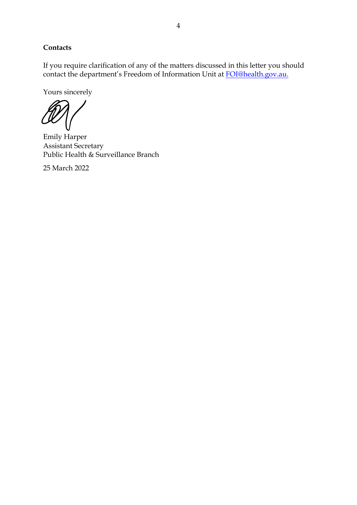# **Contacts**

If you require clarification of any of the matters discussed in this letter you should contact the department's Freedom of Information Unit at [FOI@health.gov.au.](mailto:FOI@health.gov.au)

Yours sincerely

Emily Harper Assistant Secretary Public Health & Surveillance Branch

25 March 2022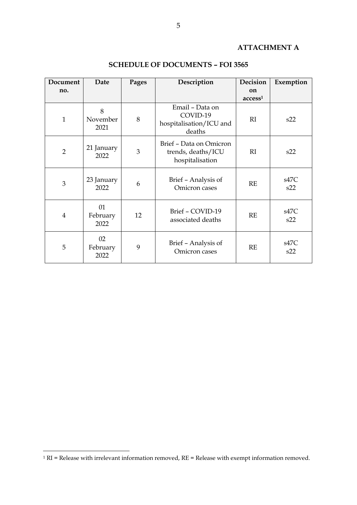# **ATTACHMENT A**

| Document       | Date                   | Pages | Description                                                      | <b>Decision</b>                      | Exemption   |
|----------------|------------------------|-------|------------------------------------------------------------------|--------------------------------------|-------------|
| no.            |                        |       |                                                                  | <sub>on</sub><br>access <sup>1</sup> |             |
| $\mathbf{1}$   | 8<br>November<br>2021  | 8     | Email - Data on<br>COVID-19<br>hospitalisation/ICU and<br>deaths | RI                                   | s22         |
| $\overline{2}$ | 21 January<br>2022     | 3     | Brief - Data on Omicron<br>trends, deaths/ICU<br>hospitalisation | RI                                   | s22         |
| 3              | 23 January<br>2022     | 6     | Brief - Analysis of<br>Omicron cases                             | RE                                   | s47C<br>s22 |
| $\overline{4}$ | 01<br>February<br>2022 | 12    | Brief - COVID-19<br>associated deaths                            | RE                                   | s47C<br>s22 |
| 5              | 02<br>February<br>2022 | 9     | Brief - Analysis of<br>Omicron cases                             | RE                                   | s47C<br>s22 |

#### **SCHEDULE OF DOCUMENTS – FOI 3565**

 $1$  RI = Release with irrelevant information removed, RE = Release with exempt information removed.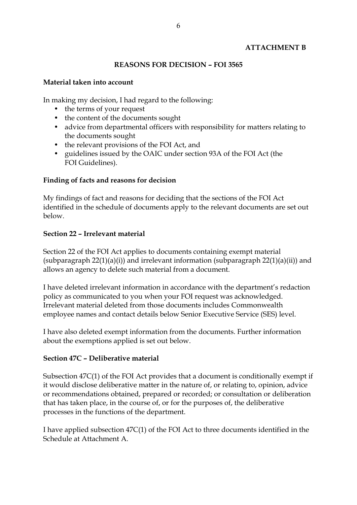# **ATTACHMENT B**

#### **REASONS FOR DECISION – FOI 3565**

#### **Material taken into account**

In making my decision, I had regard to the following:

- the terms of your request
- the content of the documents sought
- advice from departmental officers with responsibility for matters relating to the documents sought
- the relevant provisions of the FOI Act, and
- guidelines issued by the OAIC under section 93A of the FOI Act (the FOI Guidelines).

#### **Finding of facts and reasons for decision**

My findings of fact and reasons for deciding that the sections of the FOI Act identified in the schedule of documents apply to the relevant documents are set out below.

#### **Section 22 – Irrelevant material**

Section 22 of the FOI Act applies to documents containing exempt material (subparagraph  $22(1)(a)(i)$ ) and irrelevant information (subparagraph  $22(1)(a)(ii)$ ) and allows an agency to delete such material from a document.

I have deleted irrelevant information in accordance with the department's redaction policy as communicated to you when your FOI request was acknowledged. Irrelevant material deleted from those documents includes Commonwealth employee names and contact details below Senior Executive Service (SES) level.

I have also deleted exempt information from the documents. Further information about the exemptions applied is set out below.

#### **Section 47C – Deliberative material**

Subsection 47C(1) of the FOI Act provides that a document is conditionally exempt if it would disclose deliberative matter in the nature of, or relating to, opinion, advice or recommendations obtained, prepared or recorded; or consultation or deliberation that has taken place, in the course of, or for the purposes of, the deliberative processes in the functions of the department.

I have applied subsection 47C(1) of the FOI Act to three documents identified in the Schedule at Attachment A.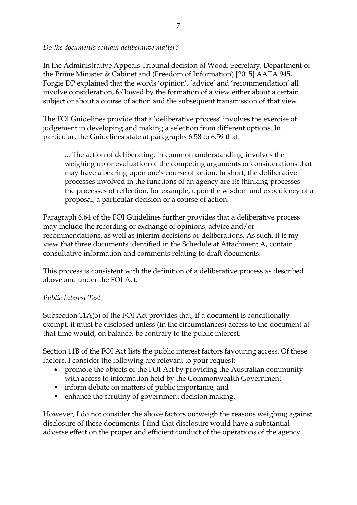*Do the documents contain deliberative matter?*

In the Administrative Appeals Tribunal decision of Wood; Secretary, Department of the Prime Minister & Cabinet and (Freedom of Information) [2015] AATA 945, Forgie DP explained that the words 'opinion', 'advice' and 'recommendation' all involve consideration, followed by the formation of a view either about a certain subject or about a course of action and the subsequent transmission of that view.

The FOI Guidelines provide that a 'deliberative process' involves the exercise of judgement in developing and making a selection from different options. In particular, the Guidelines state at paragraphs 6.58 to 6.59 that:

... The action of deliberating, in common understanding, involves the weighing up or evaluation of the competing arguments or considerations that may have a bearing upon one's course of action. In short, the deliberative processes involved in the functions of an agency are its thinking processes the processes of reflection, for example, upon the wisdom and expediency of a proposal, a particular decision or a course of action.

Paragraph 6.64 of the FOI Guidelines further provides that a deliberative process may include the recording or exchange of opinions, advice and/or recommendations, as well as interim decisions or deliberations. As such, it is my view that three documents identified in the Schedule at Attachment A, contain consultative information and comments relating to draft documents.

This process is consistent with the definition of a deliberative process as described above and under the FOI Act.

# *Public Interest Test*

Subsection 11A(5) of the FOI Act provides that, if a document is conditionally exempt, it must be disclosed unless (in the circumstances) access to the document at that time would, on balance, be contrary to the public interest.

Section 11B of the FOI Act lists the public interest factors favouring access. Of these factors, I consider the following are relevant to your request:

- promote the objects of the FOI Act by providing the Australian community with access to information held by the Commonwealth Government
- inform debate on matters of public importance, and
- enhance the scrutiny of government decision making.

However, I do not consider the above factors outweigh the reasons weighing against disclosure of these documents. I find that disclosure would have a substantial adverse effect on the proper and efficient conduct of the operations of the agency.